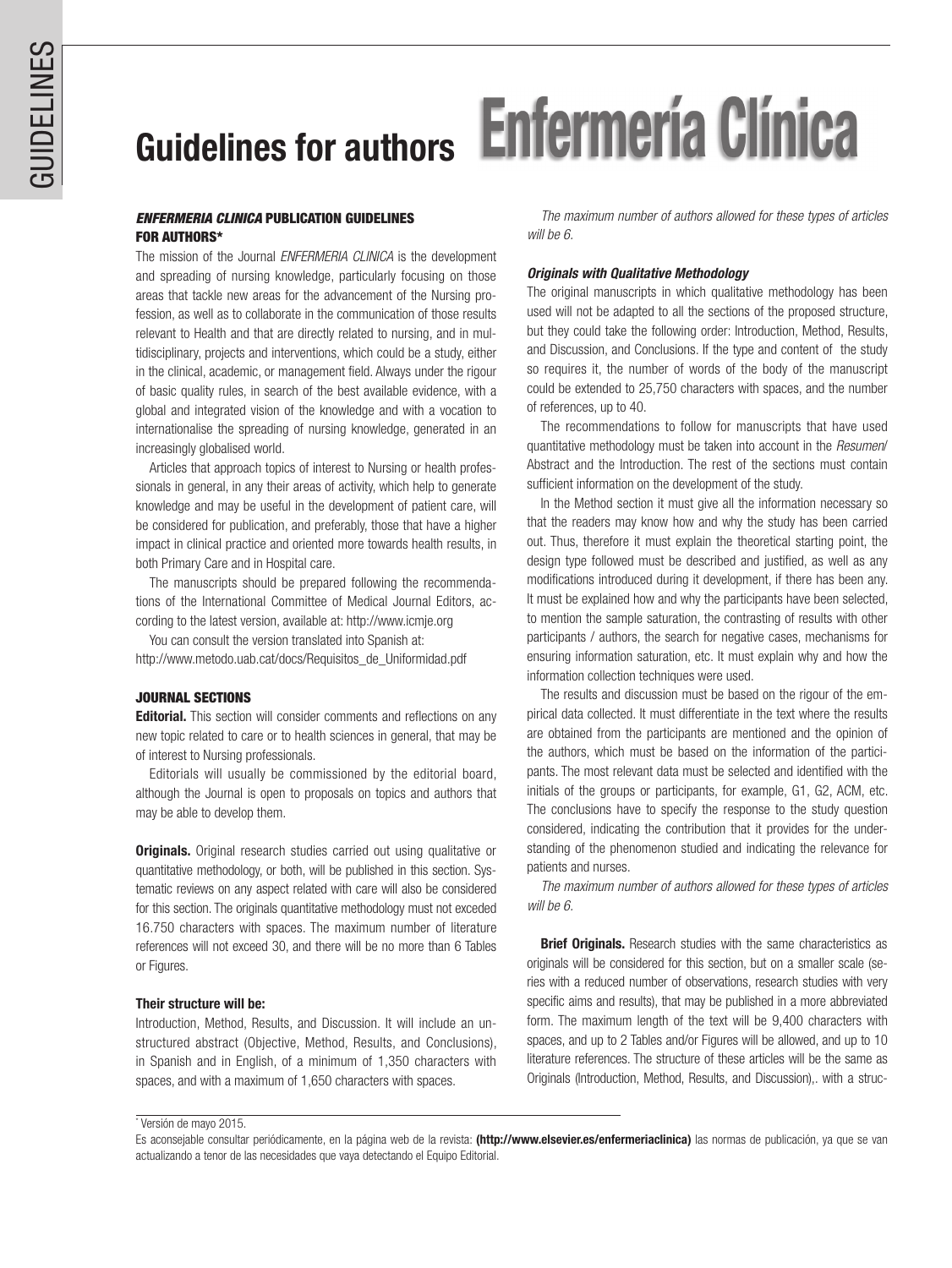# Guidelines for authors Enfermería Clínica

# *ENFERMERIA CLINICA* PUBLICATION GUIDELINES FOR AUTHORS\*

The mission of the Journal *ENFERMERIA CLINICA* is the development and spreading of nursing knowledge, particularly focusing on those areas that tackle new areas for the advancement of the Nursing profession, as well as to collaborate in the communication of those results relevant to Health and that are directly related to nursing, and in multidisciplinary, projects and interventions, which could be a study, either in the clinical, academic, or management field. Always under the rigour of basic quality rules, in search of the best available evidence, with a global and integrated vision of the knowledge and with a vocation to internationalise the spreading of nursing knowledge, generated in an increasingly globalised world.

Articles that approach topics of interest to Nursing or health professionals in general, in any their areas of activity, which help to generate knowledge and may be useful in the development of patient care, will be considered for publication, and preferably, those that have a higher impact in clinical practice and oriented more towards health results, in both Primary Care and in Hospital care.

The manuscripts should be prepared following the recommendations of the International Committee of Medical Journal Editors, according to the latest version, available at: http://www.icmje.org

You can consult the version translated into Spanish at: http://www.metodo.uab.cat/docs/Requisitos\_de\_Uniformidad.pdf

## JOURNAL SECTIONS

**Editorial.** This section will consider comments and reflections on any new topic related to care or to health sciences in general, that may be of interest to Nursing professionals.

Editorials will usually be commissioned by the editorial board, although the Journal is open to proposals on topics and authors that may be able to develop them.

**Originals.** Original research studies carried out using qualitative or quantitative methodology, or both, will be published in this section. Systematic reviews on any aspect related with care will also be considered for this section. The originals quantitative methodology must not exceded 16.750 characters with spaces. The maximum number of literature references will not exceed 30, and there will be no more than 6 Tables or Figures.

## Their structure will be:

Introduction, Method, Results, and Discussion. It will include an unstructured abstract (Objective, Method, Results, and Conclusions), in Spanish and in English, of a minimum of 1,350 characters with spaces, and with a maximum of 1,650 characters with spaces.

*The maximum number of authors allowed for these types of articles will be 6.*

## *Originals with Qualitative Methodology*

The original manuscripts in which qualitative methodology has been used will not be adapted to all the sections of the proposed structure, but they could take the following order: Introduction, Method, Results, and Discussion, and Conclusions. If the type and content of the study so requires it, the number of words of the body of the manuscript could be extended to 25,750 characters with spaces, and the number of references, up to 40.

The recommendations to follow for manuscripts that have used quantitative methodology must be taken into account in the *Resumen*/ Abstract and the Introduction. The rest of the sections must contain sufficient information on the development of the study.

In the Method section it must give all the information necessary so that the readers may know how and why the study has been carried out. Thus, therefore it must explain the theoretical starting point, the design type followed must be described and justified, as well as any modifications introduced during it development, if there has been any. It must be explained how and why the participants have been selected, to mention the sample saturation, the contrasting of results with other participants / authors, the search for negative cases, mechanisms for ensuring information saturation, etc. It must explain why and how the information collection techniques were used.

The results and discussion must be based on the rigour of the empirical data collected. It must differentiate in the text where the results are obtained from the participants are mentioned and the opinion of the authors, which must be based on the information of the participants. The most relevant data must be selected and identified with the initials of the groups or participants, for example, G1, G2, ACM, etc. The conclusions have to specify the response to the study question considered, indicating the contribution that it provides for the understanding of the phenomenon studied and indicating the relevance for patients and nurses.

*The maximum number of authors allowed for these types of articles will be 6.*

**Brief Originals.** Research studies with the same characteristics as originals will be considered for this section, but on a smaller scale (series with a reduced number of observations, research studies with very specific aims and results), that may be published in a more abbreviated form. The maximum length of the text will be 9,400 characters with spaces, and up to 2 Tables and/or Figures will be allowed, and up to 10 literature references. The structure of these articles will be the same as Originals (Introduction, Method, Results, and Discussion),. with a struc-

<sup>\*</sup> Versión de mayo 2015.

Es aconsejable consultar periódicamente, en la página web de la revista: (http://www.elsevier.es/enfermeriaclinica) las normas de publicación, ya que se van actualizando a tenor de las necesidades que vaya detectando el Equipo Editorial.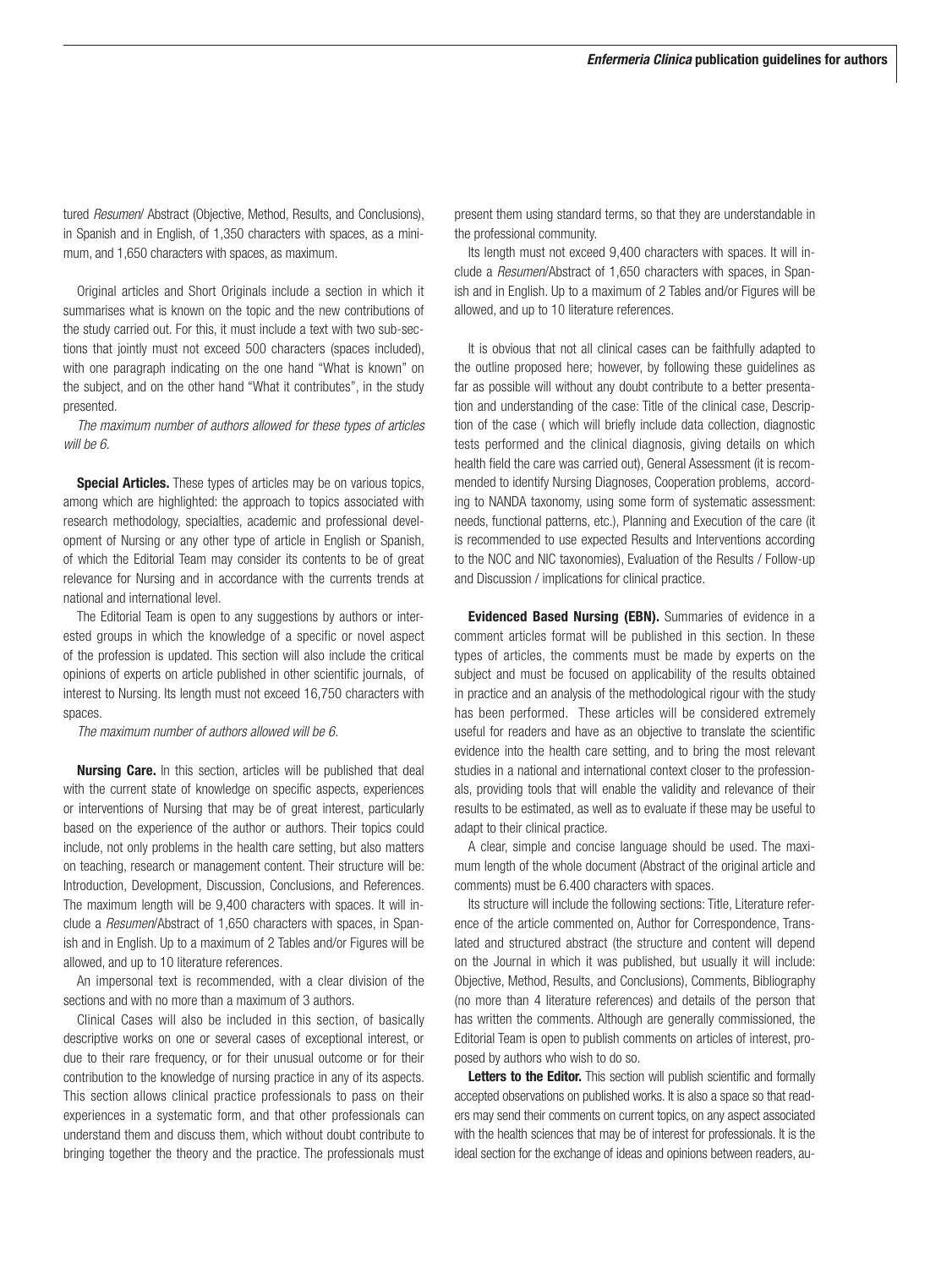tured *Resumen*/ Abstract (Objective, Method, Results, and Conclusions), in Spanish and in English, of 1,350 characters with spaces, as a minimum, and 1,650 characters with spaces, as maximum.

Original articles and Short Originals include a section in which it summarises what is known on the topic and the new contributions of the study carried out. For this, it must include a text with two sub-sections that jointly must not exceed 500 characters (spaces included), with one paragraph indicating on the one hand "What is known" on the subject, and on the other hand "What it contributes", in the study presented.

*The maximum number of authors allowed for these types of articles will be 6.*

**Special Articles.** These types of articles may be on various topics, among which are highlighted: the approach to topics associated with research methodology, specialties, academic and professional development of Nursing or any other type of article in English or Spanish, of which the Editorial Team may consider its contents to be of great relevance for Nursing and in accordance with the currents trends at national and international level.

The Editorial Team is open to any suggestions by authors or interested groups in which the knowledge of a specific or novel aspect of the profession is updated. This section will also include the critical opinions of experts on article published in other scientific journals, of interest to Nursing. Its length must not exceed 16,750 characters with spaces.

*The maximum number of authors allowed will be 6.*

Nursing Care. In this section, articles will be published that deal with the current state of knowledge on specific aspects, experiences or interventions of Nursing that may be of great interest, particularly based on the experience of the author or authors. Their topics could include, not only problems in the health care setting, but also matters on teaching, research or management content. Their structure will be: Introduction, Development, Discussion, Conclusions, and References. The maximum length will be 9,400 characters with spaces. It will include a *Resumen*/Abstract of 1,650 characters with spaces, in Spanish and in English. Up to a maximum of 2 Tables and/or Figures will be allowed, and up to 10 literature references.

An impersonal text is recommended, with a clear division of the sections and with no more than a maximum of 3 authors.

Clinical Cases will also be included in this section, of basically descriptive works on one or several cases of exceptional interest, or due to their rare frequency, or for their unusual outcome or for their contribution to the knowledge of nursing practice in any of its aspects. This section allows clinical practice professionals to pass on their experiences in a systematic form, and that other professionals can understand them and discuss them, which without doubt contribute to bringing together the theory and the practice. The professionals must present them using standard terms, so that they are understandable in the professional community.

Its length must not exceed 9,400 characters with spaces. It will include a *Resumen*/Abstract of 1,650 characters with spaces, in Spanish and in English. Up to a maximum of 2 Tables and/or Figures will be allowed, and up to 10 literature references.

It is obvious that not all clinical cases can be faithfully adapted to the outline proposed here; however, by following these guidelines as far as possible will without any doubt contribute to a better presentation and understanding of the case: Title of the clinical case, Description of the case ( which will briefly include data collection, diagnostic tests performed and the clinical diagnosis, giving details on which health field the care was carried out), General Assessment (it is recommended to identify Nursing Diagnoses, Cooperation problems, according to NANDA taxonomy, using some form of systematic assessment: needs, functional patterns, etc.), Planning and Execution of the care (it is recommended to use expected Results and Interventions according to the NOC and NIC taxonomies), Evaluation of the Results / Follow-up and Discussion / implications for clinical practice.

Evidenced Based Nursing (EBN). Summaries of evidence in a comment articles format will be published in this section. In these types of articles, the comments must be made by experts on the subject and must be focused on applicability of the results obtained in practice and an analysis of the methodological rigour with the study has been performed. These articles will be considered extremely useful for readers and have as an objective to translate the scientific evidence into the health care setting, and to bring the most relevant studies in a national and international context closer to the professionals, providing tools that will enable the validity and relevance of their results to be estimated, as well as to evaluate if these may be useful to adapt to their clinical practice.

A clear, simple and concise language should be used. The maximum length of the whole document (Abstract of the original article and comments) must be 6.400 characters with spaces.

Its structure will include the following sections: Title, Literature reference of the article commented on, Author for Correspondence, Translated and structured abstract (the structure and content will depend on the Journal in which it was published, but usually it will include: Objective, Method, Results, and Conclusions), Comments, Bibliography (no more than 4 literature references) and details of the person that has written the comments. Although are generally commissioned, the Editorial Team is open to publish comments on articles of interest, proposed by authors who wish to do so.

Letters to the Editor. This section will publish scientific and formally accepted observations on published works. It is also a space so that readers may send their comments on current topics, on any aspect associated with the health sciences that may be of interest for professionals. It is the ideal section for the exchange of ideas and opinions between readers, au-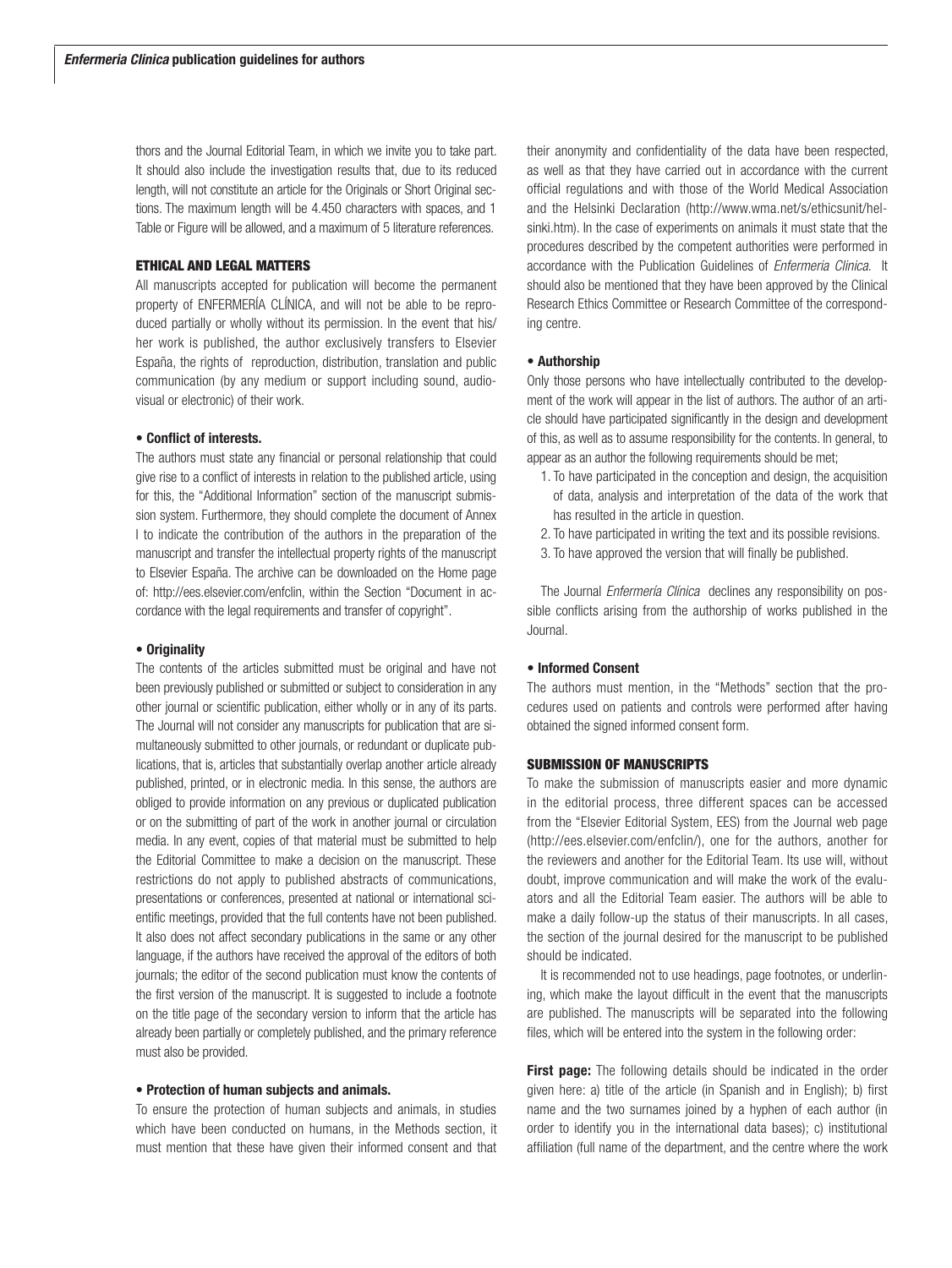thors and the Journal Editorial Team, in which we invite you to take part. It should also include the investigation results that, due to its reduced length, will not constitute an article for the Originals or Short Original sections. The maximum length will be 4.450 characters with spaces, and 1 Table or Figure will be allowed, and a maximum of 5 literature references.

#### ETHICAL AND LEGAL MATTERS

All manuscripts accepted for publication will become the permanent property of ENFERMERÍA CLÍNICA, and will not be able to be reproduced partially or wholly without its permission. In the event that his/ her work is published, the author exclusively transfers to Elsevier España, the rights of reproduction, distribution, translation and public communication (by any medium or support including sound, audiovisual or electronic) of their work.

## • Conflict of interests.

The authors must state any financial or personal relationship that could give rise to a conflict of interests in relation to the published article, using for this, the "Additional Information" section of the manuscript submission system. Furthermore, they should complete the document of Annex I to indicate the contribution of the authors in the preparation of the manuscript and transfer the intellectual property rights of the manuscript to Elsevier España. The archive can be downloaded on the Home page of: http://ees.elsevier.com/enfclin, within the Section "Document in accordance with the legal requirements and transfer of copyright".

#### • Originality

The contents of the articles submitted must be original and have not been previously published or submitted or subject to consideration in any other journal or scientific publication, either wholly or in any of its parts. The Journal will not consider any manuscripts for publication that are simultaneously submitted to other journals, or redundant or duplicate publications, that is, articles that substantially overlap another article already published, printed, or in electronic media. In this sense, the authors are obliged to provide information on any previous or duplicated publication or on the submitting of part of the work in another journal or circulation media. In any event, copies of that material must be submitted to help the Editorial Committee to make a decision on the manuscript. These restrictions do not apply to published abstracts of communications, presentations or conferences, presented at national or international scientific meetings, provided that the full contents have not been published. It also does not affect secondary publications in the same or any other language, if the authors have received the approval of the editors of both journals; the editor of the second publication must know the contents of the first version of the manuscript. It is suggested to include a footnote on the title page of the secondary version to inform that the article has already been partially or completely published, and the primary reference must also be provided.

#### • Protection of human subjects and animals.

To ensure the protection of human subjects and animals, in studies which have been conducted on humans, in the Methods section, it must mention that these have given their informed consent and that their anonymity and confidentiality of the data have been respected, as well as that they have carried out in accordance with the current official regulations and with those of the World Medical Association and the Helsinki Declaration (http://www.wma.net/s/ethicsunit/helsinki.htm). In the case of experiments on animals it must state that the procedures described by the competent authorities were performed in accordance with the Publication Guidelines of *Enfermeria Clinica*. It should also be mentioned that they have been approved by the Clinical Research Ethics Committee or Research Committee of the corresponding centre.

#### • Authorship

Only those persons who have intellectually contributed to the development of the work will appear in the list of authors. The author of an article should have participated significantly in the design and development of this, as well as to assume responsibility for the contents. In general, to appear as an author the following requirements should be met;

- 1. To have participated in the conception and design, the acquisition of data, analysis and interpretation of the data of the work that has resulted in the article in question.
- 2. To have participated in writing the text and its possible revisions.
- 3. To have approved the version that will finally be published.

The Journal *Enfermería Clínica* declines any responsibility on possible conflicts arising from the authorship of works published in the Journal.

## • Informed Consent

The authors must mention, in the "Methods" section that the procedures used on patients and controls were performed after having obtained the signed informed consent form.

#### SUBMISSION OF MANUSCRIPTS

To make the submission of manuscripts easier and more dynamic in the editorial process, three different spaces can be accessed from the "Elsevier Editorial System, EES) from the Journal web page (http://ees.elsevier.com/enfclin/), one for the authors, another for the reviewers and another for the Editorial Team. Its use will, without doubt, improve communication and will make the work of the evaluators and all the Editorial Team easier. The authors will be able to make a daily follow-up the status of their manuscripts. In all cases, the section of the journal desired for the manuscript to be published should be indicated.

It is recommended not to use headings, page footnotes, or underlining, which make the layout difficult in the event that the manuscripts are published. The manuscripts will be separated into the following files, which will be entered into the system in the following order:

First page: The following details should be indicated in the order given here: a) title of the article (in Spanish and in English); b) first name and the two surnames joined by a hyphen of each author (in order to identify you in the international data bases); c) institutional affiliation (full name of the department, and the centre where the work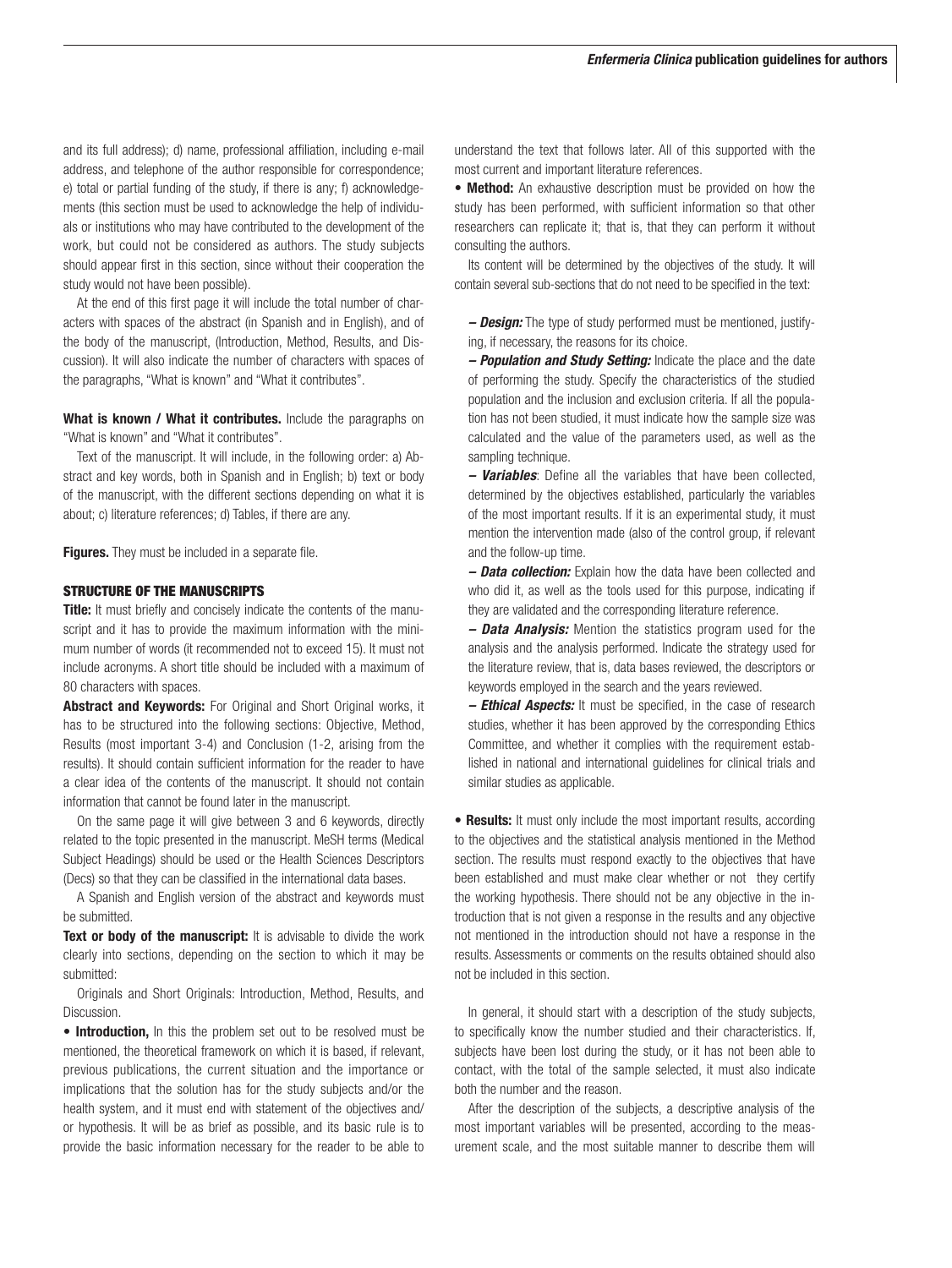and its full address); d) name, professional affiliation, including e-mail address, and telephone of the author responsible for correspondence; e) total or partial funding of the study, if there is any; f) acknowledgements (this section must be used to acknowledge the help of individuals or institutions who may have contributed to the development of the work, but could not be considered as authors. The study subjects should appear first in this section, since without their cooperation the study would not have been possible).

At the end of this first page it will include the total number of characters with spaces of the abstract (in Spanish and in English), and of the body of the manuscript, (Introduction, Method, Results, and Discussion). It will also indicate the number of characters with spaces of the paragraphs, "What is known" and "What it contributes".

What is known / What it contributes. Include the paragraphs on "What is known" and "What it contributes".

Text of the manuscript. It will include, in the following order: a) Abstract and key words, both in Spanish and in English; b) text or body of the manuscript, with the different sections depending on what it is about; c) literature references; d) Tables, if there are any.

**Figures.** They must be included in a separate file.

#### STRUCTURE OF THE MANUSCRIPTS

Title: It must briefly and concisely indicate the contents of the manuscript and it has to provide the maximum information with the minimum number of words (it recommended not to exceed 15). It must not include acronyms. A short title should be included with a maximum of 80 characters with spaces.

Abstract and Keywords: For Original and Short Original works, it has to be structured into the following sections: Objective, Method, Results (most important 3-4) and Conclusion (1-2, arising from the results). It should contain sufficient information for the reader to have a clear idea of the contents of the manuscript. It should not contain information that cannot be found later in the manuscript.

On the same page it will give between 3 and 6 keywords, directly related to the topic presented in the manuscript. MeSH terms (Medical Subject Headings) should be used or the Health Sciences Descriptors (Decs) so that they can be classified in the international data bases.

A Spanish and English version of the abstract and keywords must be submitted.

Text or body of the manuscript: It is advisable to divide the work clearly into sections, depending on the section to which it may be submitted:

Originals and Short Originals: Introduction, Method, Results, and Discussion.

• Introduction, In this the problem set out to be resolved must be mentioned, the theoretical framework on which it is based, if relevant, previous publications, the current situation and the importance or implications that the solution has for the study subjects and/or the health system, and it must end with statement of the objectives and/ or hypothesis. It will be as brief as possible, and its basic rule is to provide the basic information necessary for the reader to be able to

understand the text that follows later. All of this supported with the most current and important literature references.

• Method: An exhaustive description must be provided on how the study has been performed, with sufficient information so that other researchers can replicate it; that is, that they can perform it without consulting the authors.

Its content will be determined by the objectives of the study. It will contain several sub-sections that do not need to be specified in the text:

*– Design:* The type of study performed must be mentioned, justifying, if necessary, the reasons for its choice.

*– Population and Study Setting:* Indicate the place and the date of performing the study. Specify the characteristics of the studied population and the inclusion and exclusion criteria. If all the population has not been studied, it must indicate how the sample size was calculated and the value of the parameters used, as well as the sampling technique.

*– Variables*: Define all the variables that have been collected, determined by the objectives established, particularly the variables of the most important results. If it is an experimental study, it must mention the intervention made (also of the control group, if relevant and the follow-up time.

*– Data collection:* Explain how the data have been collected and who did it, as well as the tools used for this purpose, indicating if they are validated and the corresponding literature reference.

*– Data Analysis:* Mention the statistics program used for the analysis and the analysis performed. Indicate the strategy used for the literature review, that is, data bases reviewed, the descriptors or keywords employed in the search and the years reviewed.

*– Ethical Aspects:* It must be specified, in the case of research studies, whether it has been approved by the corresponding Ethics Committee, and whether it complies with the requirement established in national and international guidelines for clinical trials and similar studies as applicable.

• Results: It must only include the most important results, according to the objectives and the statistical analysis mentioned in the Method section. The results must respond exactly to the objectives that have been established and must make clear whether or not they certify the working hypothesis. There should not be any objective in the introduction that is not given a response in the results and any objective not mentioned in the introduction should not have a response in the results. Assessments or comments on the results obtained should also not be included in this section.

In general, it should start with a description of the study subjects, to specifically know the number studied and their characteristics. If, subjects have been lost during the study, or it has not been able to contact, with the total of the sample selected, it must also indicate both the number and the reason.

After the description of the subjects, a descriptive analysis of the most important variables will be presented, according to the measurement scale, and the most suitable manner to describe them will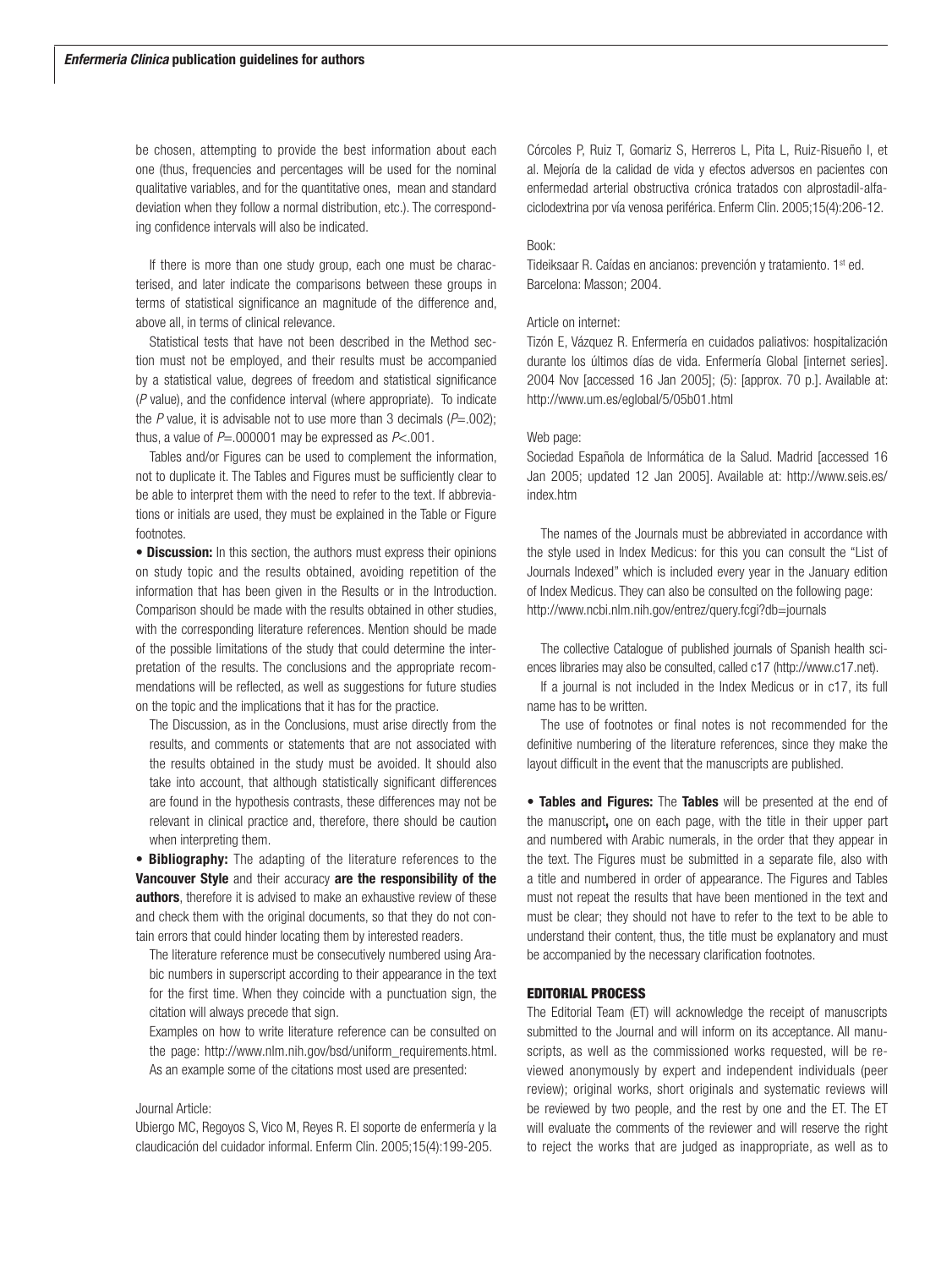be chosen, attempting to provide the best information about each one (thus, frequencies and percentages will be used for the nominal qualitative variables, and for the quantitative ones, mean and standard deviation when they follow a normal distribution, etc.). The corresponding confidence intervals will also be indicated.

If there is more than one study group, each one must be characterised, and later indicate the comparisons between these groups in terms of statistical significance an magnitude of the difference and, above all, in terms of clinical relevance.

Statistical tests that have not been described in the Method section must not be employed, and their results must be accompanied by a statistical value, degrees of freedom and statistical significance (*P* value), and the confidence interval (where appropriate). To indicate the *P* value, it is advisable not to use more than 3 decimals  $(P=0.002)$ : thus, a value of  $P = .000001$  may be expressed as  $P < .001$ .

Tables and/or Figures can be used to complement the information, not to duplicate it. The Tables and Figures must be sufficiently clear to be able to interpret them with the need to refer to the text. If abbreviations or initials are used, they must be explained in the Table or Figure footnotes.

• Discussion: In this section, the authors must express their opinions on study topic and the results obtained, avoiding repetition of the information that has been given in the Results or in the Introduction. Comparison should be made with the results obtained in other studies, with the corresponding literature references. Mention should be made of the possible limitations of the study that could determine the interpretation of the results. The conclusions and the appropriate recommendations will be reflected, as well as suggestions for future studies on the topic and the implications that it has for the practice.

The Discussion, as in the Conclusions, must arise directly from the results, and comments or statements that are not associated with the results obtained in the study must be avoided. It should also take into account, that although statistically significant differences are found in the hypothesis contrasts, these differences may not be relevant in clinical practice and, therefore, there should be caution when interpreting them.

**• Bibliography:** The adapting of the literature references to the Vancouver Style and their accuracy are the responsibility of the authors, therefore it is advised to make an exhaustive review of these and check them with the original documents, so that they do not contain errors that could hinder locating them by interested readers.

The literature reference must be consecutively numbered using Arabic numbers in superscript according to their appearance in the text for the first time. When they coincide with a punctuation sign, the citation will always precede that sign.

Examples on how to write literature reference can be consulted on the page: http://www.nlm.nih.gov/bsd/uniform\_requirements.html. As an example some of the citations most used are presented:

#### Journal Article:

Ubiergo MC, Regoyos S, Vico M, Reyes R. El soporte de enfermería y la claudicación del cuidador informal. Enferm Clin. 2005;15(4):199-205.

Córcoles P, Ruiz T, Gomariz S, Herreros L, Pita L, Ruiz-Risueño I, et al. Mejoría de la calidad de vida y efectos adversos en pacientes con enfermedad arterial obstructiva crónica tratados con alprostadil-alfaciclodextrina por vía venosa periférica. Enferm Clin. 2005;15(4):206-12.

## Book:

Tideiksaar R. Caídas en ancianos: prevención y tratamiento. 1st ed. Barcelona: Masson; 2004.

## Article on internet:

Tizón E, Vázquez R. Enfermería en cuidados paliativos: hospitalización durante los últimos días de vida. Enfermería Global [internet series]. 2004 Nov [accessed 16 Jan 2005]; (5): [approx. 70 p.]. Available at: http://www.um.es/eglobal/5/05b01.html

#### Web page:

Sociedad Española de Informática de la Salud. Madrid [accessed 16 Jan 2005; updated 12 Jan 2005]. Available at: http://www.seis.es/ index.htm

The names of the Journals must be abbreviated in accordance with the style used in Index Medicus: for this you can consult the "List of Journals Indexed" which is included every year in the January edition of Index Medicus. They can also be consulted on the following page: http://www.ncbi.nlm.nih.gov/entrez/query.fcgi?db=journals

The collective Catalogue of published journals of Spanish health sciences libraries may also be consulted, called c17 (http://www.c17.net).

If a journal is not included in the Index Medicus or in c17, its full name has to be written.

The use of footnotes or final notes is not recommended for the definitive numbering of the literature references, since they make the layout difficult in the event that the manuscripts are published.

• Tables and Figures: The Tables will be presented at the end of the manuscript, one on each page, with the title in their upper part and numbered with Arabic numerals, in the order that they appear in the text. The Figures must be submitted in a separate file, also with a title and numbered in order of appearance. The Figures and Tables must not repeat the results that have been mentioned in the text and must be clear; they should not have to refer to the text to be able to understand their content, thus, the title must be explanatory and must be accompanied by the necessary clarification footnotes.

#### EDITORIAL PROCESS

The Editorial Team (ET) will acknowledge the receipt of manuscripts submitted to the Journal and will inform on its acceptance. All manuscripts, as well as the commissioned works requested, will be reviewed anonymously by expert and independent individuals (peer review); original works, short originals and systematic reviews will be reviewed by two people, and the rest by one and the ET. The ET will evaluate the comments of the reviewer and will reserve the right to reject the works that are judged as inappropriate, as well as to